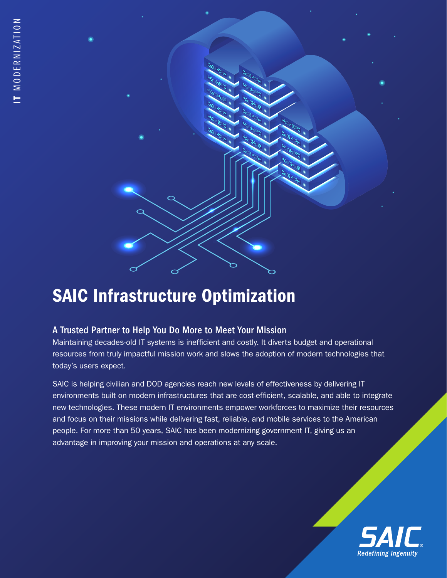

# SAIC Infrastructure Optimization

## A Trusted Partner to Help You Do More to Meet Your Mission

Maintaining decades-old IT systems is inefficient and costly. It diverts budget and operational resources from truly impactful mission work and slows the adoption of modern technologies that today's users expect.

SAIC is helping civilian and DOD agencies reach new levels of effectiveness by delivering IT environments built on modern infrastructures that are cost-efficient, scalable, and able to integrate new technologies. These modern IT environments empower workforces to maximize their resources and focus on their missions while delivering fast, reliable, and mobile services to the American people. For more than 50 years, SAIC has been modernizing government IT, giving us an advantage in improving your mission and operations at any scale.